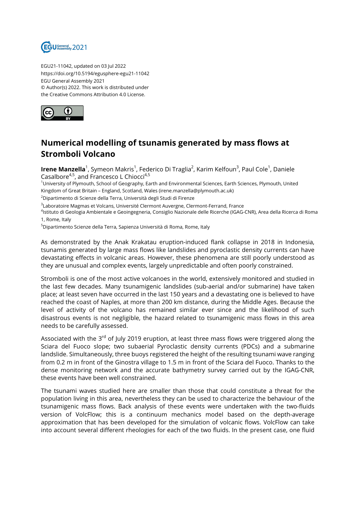

EGU21-11042, updated on 03 Jul 2022 https://doi.org/10.5194/egusphere-egu21-11042 EGU General Assembly 2021 © Author(s) 2022. This work is distributed under the Creative Commons Attribution 4.0 License.



## **Numerical modelling of tsunamis generated by mass flows at Stromboli Volcano**

**Irene Manzella**<sup>1</sup>, Symeon Makris<sup>1</sup>, Federico Di Traglia<sup>2</sup>, Karim Kelfoun<sup>3</sup>, Paul Cole<sup>1</sup>, Daniele Casalbore<sup>4,5</sup>, and Francesco L Chiocci<sup>4,5</sup>

<sup>1</sup>University of Plymouth, School of Geography, Earth and Environmental Sciences, Earth Sciences, Plymouth, United Kingdom of Great Britain – England, Scotland, Wales (irene.manzella@plymouth.ac.uk)

<sup>2</sup>Dipartimento di Scienze della Terra, Università degli Studi di Firenze

 $^{\rm 3}$ Laboratoire Magmas et Volcans, Université Clermont Auvergne, Clermont-Ferrand, France

<sup>4</sup>lstituto di Geologia Ambientale e Geoingegneria, Consiglio Nazionale delle Ricerche (IGAG-CNR), Area della Ricerca di Roma 1, Rome, Italy

<sup>5</sup>Dipartimento Scienze della Terra, Sapienza Università di Roma, Rome, Italy

As demonstrated by the Anak Krakatau eruption-induced flank collapse in 2018 in Indonesia, tsunamis generated by large mass flows like landslides and pyroclastic density currents can have devastating effects in volcanic areas. However, these phenomena are still poorly understood as they are unusual and complex events, largely unpredictable and often poorly constrained.

Stromboli is one of the most active volcanoes in the world, extensively monitored and studied in the last few decades. Many tsunamigenic landslides (sub-aerial and/or submarine) have taken place; at least seven have occurred in the last 150 years and a devastating one is believed to have reached the coast of Naples, at more than 200 km distance, during the Middle Ages. Because the level of activity of the volcano has remained similar ever since and the likelihood of such disastrous events is not negligible, the hazard related to tsunamigenic mass flows in this area needs to be carefully assessed.

Associated with the  $3<sup>rd</sup>$  of July 2019 eruption, at least three mass flows were triggered along the Sciara del Fuoco slope; two subaerial Pyroclastic density currents (PDCs) and a submarine landslide. Simultaneously, three buoys registered the height of the resulting tsunami wave ranging from 0.2 m in front of the Ginostra village to 1.5 m in front of the Sciara del Fuoco. Thanks to the dense monitoring network and the accurate bathymetry survey carried out by the IGAG-CNR, these events have been well constrained.

The tsunami waves studied here are smaller than those that could constitute a threat for the population living in this area, nevertheless they can be used to characterize the behaviour of the tsunamigenic mass flows. Back analysis of these events were undertaken with the two-fluids version of VolcFlow; this is a continuum mechanics model based on the depth-average approximation that has been developed for the simulation of volcanic flows. VolcFlow can take into account several different rheologies for each of the two fluids. In the present case, one fluid